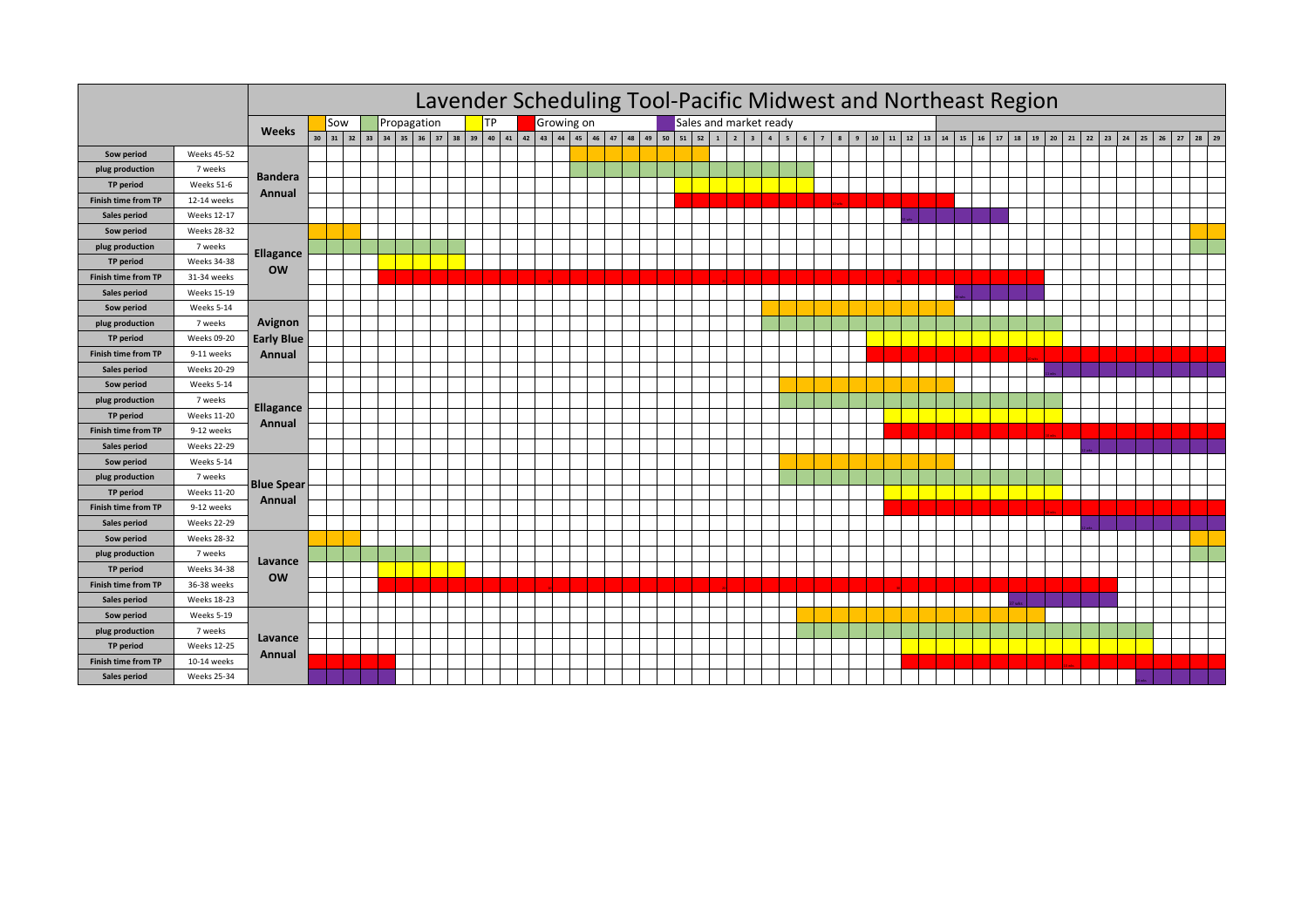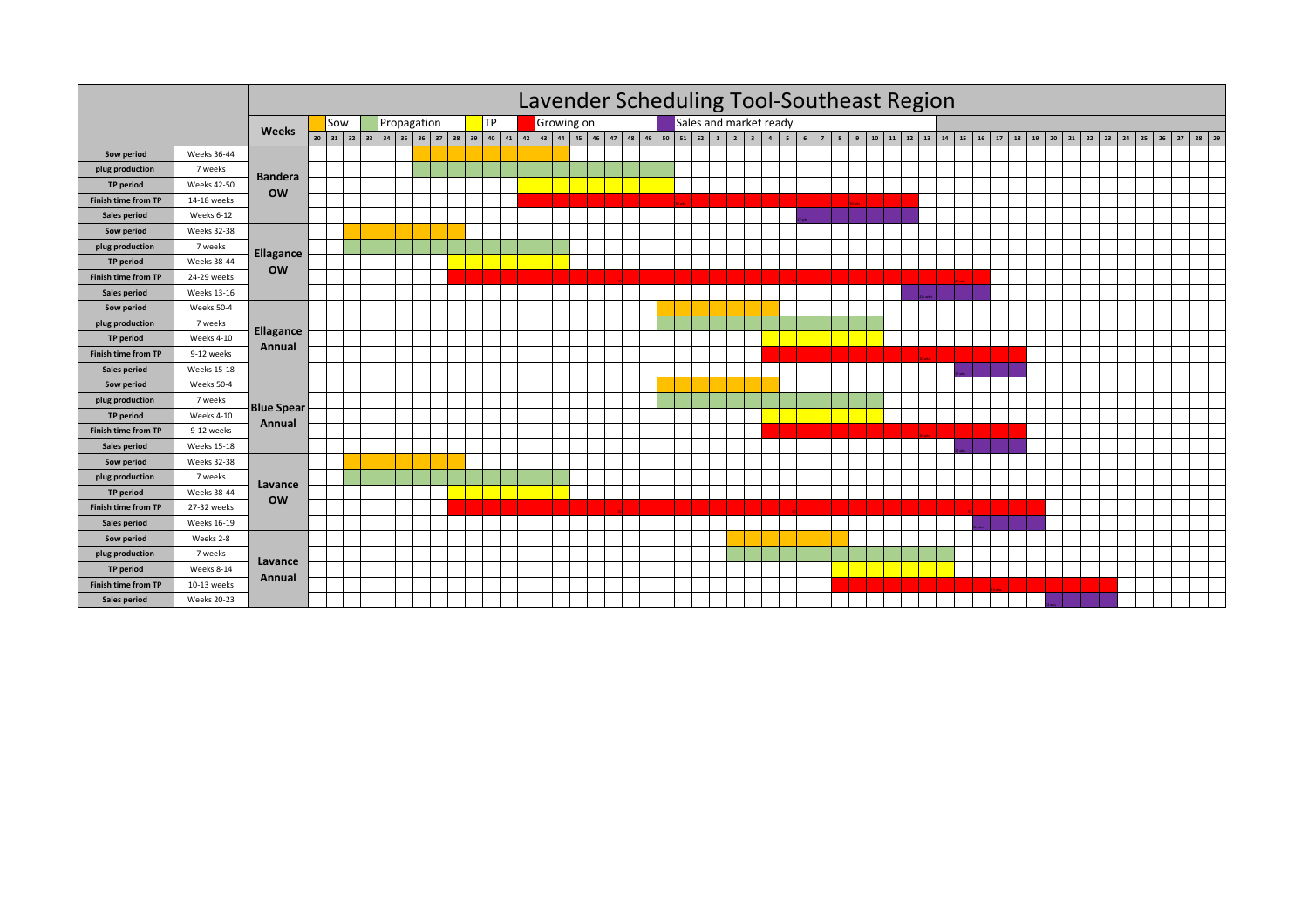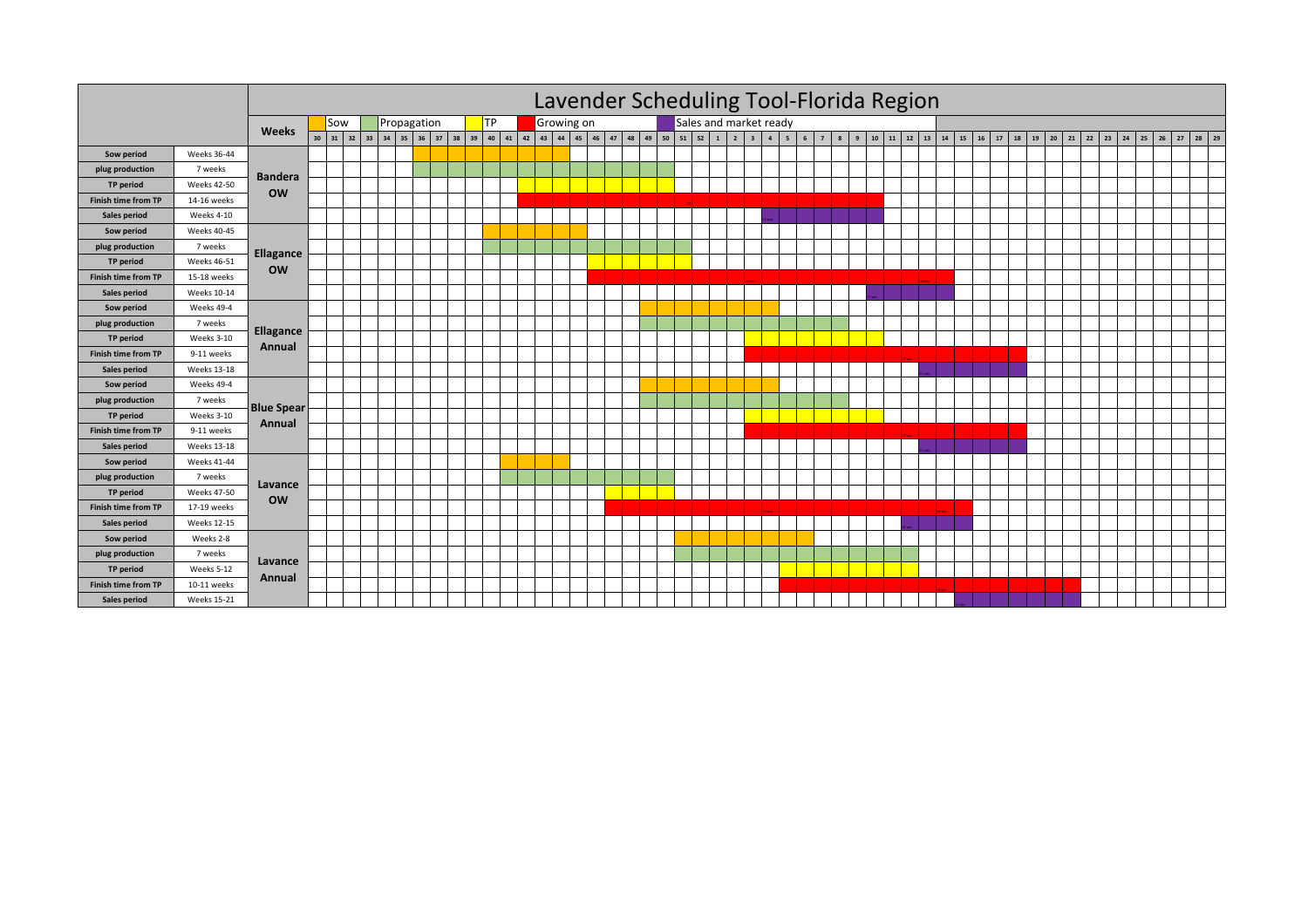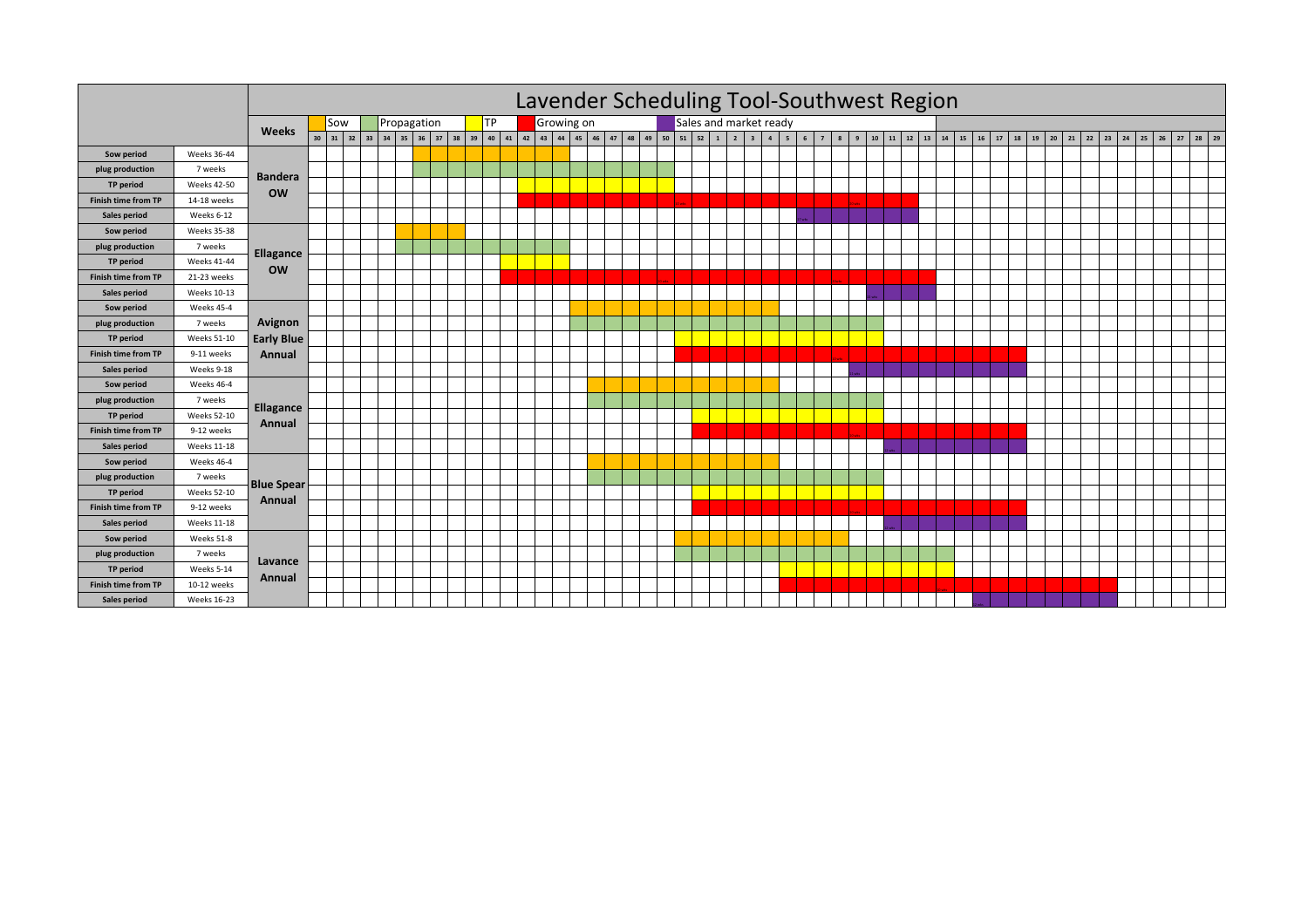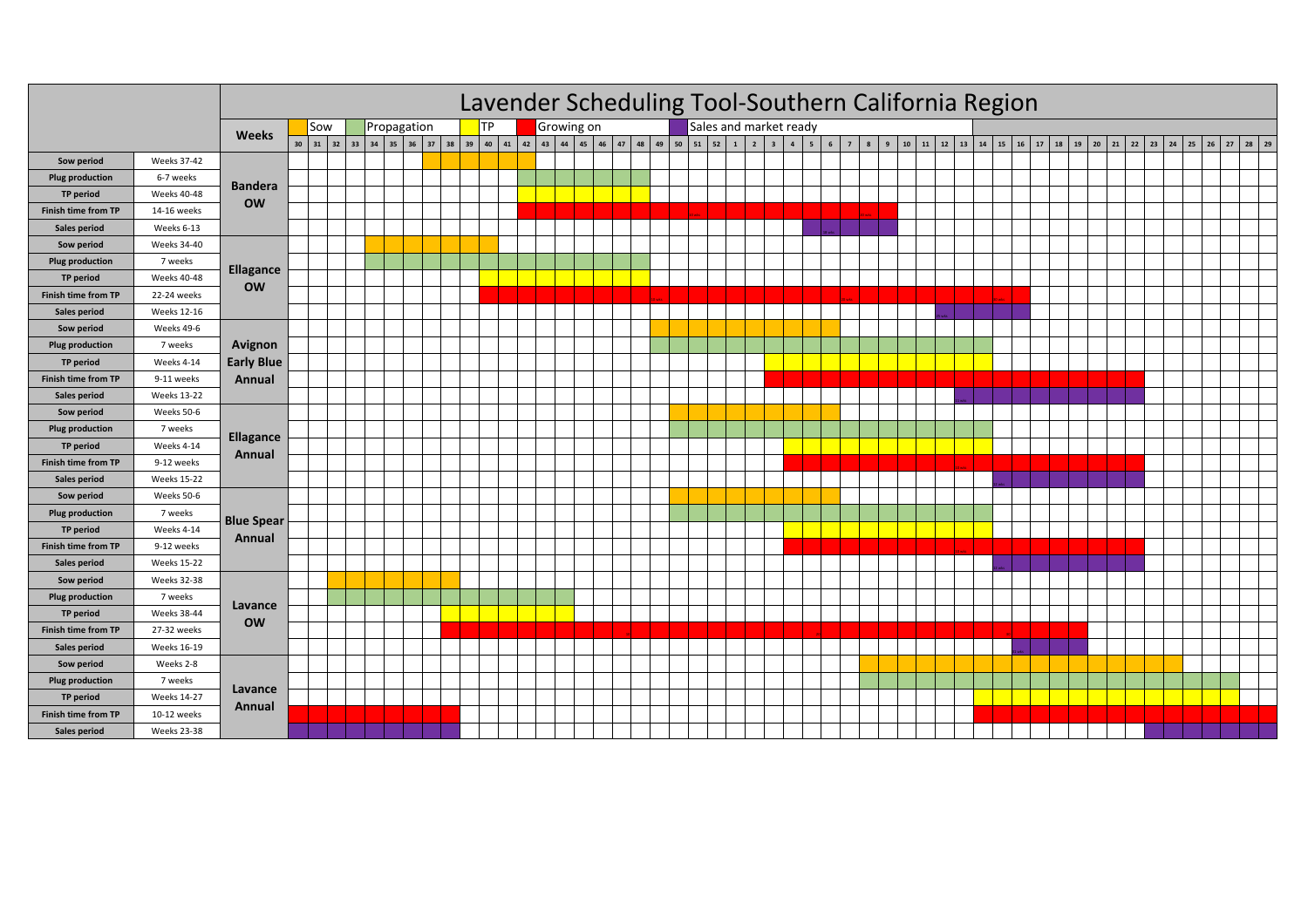|                            |                    |                   | Lavender Scheduling Tool-Southern California Region<br>Sales and market ready |     |  |                                                                            |  |  |           |  |  |            |  |  |  |  |  |   |                                |                     |   |            |  |  |                                                      |  |    |  |                      |  |                              |  |  |               |  |
|----------------------------|--------------------|-------------------|-------------------------------------------------------------------------------|-----|--|----------------------------------------------------------------------------|--|--|-----------|--|--|------------|--|--|--|--|--|---|--------------------------------|---------------------|---|------------|--|--|------------------------------------------------------|--|----|--|----------------------|--|------------------------------|--|--|---------------|--|
|                            |                    | <b>Weeks</b>      |                                                                               | Sow |  | Propagation                                                                |  |  | <b>TP</b> |  |  | Growing on |  |  |  |  |  |   |                                |                     |   |            |  |  |                                                      |  |    |  |                      |  |                              |  |  |               |  |
|                            |                    |                   |                                                                               |     |  | 30 31 32 33 34 35 36 37 38 39 40 41 42 43 44 45 46 47 48 49 50 51 52 1 2 3 |  |  |           |  |  |            |  |  |  |  |  | 4 | $5^{\circ}$<br>$6\overline{6}$ | $\overline{7}$<br>8 | 9 | ${\bf 10}$ |  |  | $11 \mid 12 \mid 13 \mid 14 \mid 15 \mid 16 \mid 17$ |  | 18 |  | $19 \mid 20 \mid 21$ |  | $22 \mid 23 \mid 24 \mid 25$ |  |  | $26$ 27 28 29 |  |
| Sow period                 | <b>Weeks 37-42</b> |                   |                                                                               |     |  |                                                                            |  |  |           |  |  |            |  |  |  |  |  |   |                                |                     |   |            |  |  |                                                      |  |    |  |                      |  |                              |  |  |               |  |
| <b>Plug production</b>     | 6-7 weeks          | <b>Bandera</b>    |                                                                               |     |  |                                                                            |  |  |           |  |  |            |  |  |  |  |  |   |                                |                     |   |            |  |  |                                                      |  |    |  |                      |  |                              |  |  |               |  |
| TP period                  | <b>Weeks 40-48</b> | <b>OW</b>         |                                                                               |     |  |                                                                            |  |  |           |  |  |            |  |  |  |  |  |   |                                |                     |   |            |  |  |                                                      |  |    |  |                      |  |                              |  |  |               |  |
| <b>Finish time from TP</b> | 14-16 weeks        |                   |                                                                               |     |  |                                                                            |  |  |           |  |  |            |  |  |  |  |  |   |                                |                     |   |            |  |  |                                                      |  |    |  |                      |  |                              |  |  |               |  |
| Sales period               | Weeks 6-13         |                   |                                                                               |     |  |                                                                            |  |  |           |  |  |            |  |  |  |  |  |   |                                |                     |   |            |  |  |                                                      |  |    |  |                      |  |                              |  |  |               |  |
| Sow period                 | <b>Weeks 34-40</b> |                   |                                                                               |     |  |                                                                            |  |  |           |  |  |            |  |  |  |  |  |   |                                |                     |   |            |  |  |                                                      |  |    |  |                      |  |                              |  |  |               |  |
| <b>Plug production</b>     | 7 weeks            | <b>Ellagance</b>  |                                                                               |     |  |                                                                            |  |  |           |  |  |            |  |  |  |  |  |   |                                |                     |   |            |  |  |                                                      |  |    |  |                      |  |                              |  |  |               |  |
| TP period                  | <b>Weeks 40-48</b> | <b>OW</b>         |                                                                               |     |  |                                                                            |  |  |           |  |  |            |  |  |  |  |  |   |                                |                     |   |            |  |  |                                                      |  |    |  |                      |  |                              |  |  |               |  |
| <b>Finish time from TP</b> | 22-24 weeks        |                   |                                                                               |     |  |                                                                            |  |  |           |  |  |            |  |  |  |  |  |   |                                |                     |   |            |  |  |                                                      |  |    |  |                      |  |                              |  |  |               |  |
| Sales period               | <b>Weeks 12-16</b> |                   |                                                                               |     |  |                                                                            |  |  |           |  |  |            |  |  |  |  |  |   |                                |                     |   |            |  |  |                                                      |  |    |  |                      |  |                              |  |  |               |  |
| Sow period                 | Weeks 49-6         |                   |                                                                               |     |  |                                                                            |  |  |           |  |  |            |  |  |  |  |  |   |                                |                     |   |            |  |  |                                                      |  |    |  |                      |  |                              |  |  |               |  |
| <b>Plug production</b>     | 7 weeks            | Avignon           |                                                                               |     |  |                                                                            |  |  |           |  |  |            |  |  |  |  |  |   |                                |                     |   |            |  |  |                                                      |  |    |  |                      |  |                              |  |  |               |  |
| TP period                  | Weeks 4-14         | <b>Early Blue</b> |                                                                               |     |  |                                                                            |  |  |           |  |  |            |  |  |  |  |  |   |                                |                     |   |            |  |  |                                                      |  |    |  |                      |  |                              |  |  |               |  |
| <b>Finish time from TP</b> | 9-11 weeks         | Annual            |                                                                               |     |  |                                                                            |  |  |           |  |  |            |  |  |  |  |  |   |                                |                     |   |            |  |  |                                                      |  |    |  |                      |  |                              |  |  |               |  |
| Sales period               | <b>Weeks 13-22</b> |                   |                                                                               |     |  |                                                                            |  |  |           |  |  |            |  |  |  |  |  |   |                                |                     |   |            |  |  |                                                      |  |    |  |                      |  |                              |  |  |               |  |
| Sow period                 | Weeks 50-6         |                   |                                                                               |     |  |                                                                            |  |  |           |  |  |            |  |  |  |  |  |   |                                |                     |   |            |  |  |                                                      |  |    |  |                      |  |                              |  |  |               |  |
| <b>Plug production</b>     | 7 weeks            |                   |                                                                               |     |  |                                                                            |  |  |           |  |  |            |  |  |  |  |  |   |                                |                     |   |            |  |  |                                                      |  |    |  |                      |  |                              |  |  |               |  |
| TP period                  | Weeks 4-14         | <b>Ellagance</b>  |                                                                               |     |  |                                                                            |  |  |           |  |  |            |  |  |  |  |  |   |                                |                     |   |            |  |  |                                                      |  |    |  |                      |  |                              |  |  |               |  |
| <b>Finish time from TP</b> | 9-12 weeks         | Annual            |                                                                               |     |  |                                                                            |  |  |           |  |  |            |  |  |  |  |  |   |                                |                     |   |            |  |  |                                                      |  |    |  |                      |  |                              |  |  |               |  |
| Sales period               | <b>Weeks 15-22</b> |                   |                                                                               |     |  |                                                                            |  |  |           |  |  |            |  |  |  |  |  |   |                                |                     |   |            |  |  |                                                      |  |    |  |                      |  |                              |  |  |               |  |
| Sow period                 | Weeks 50-6         | <b>Blue Spear</b> |                                                                               |     |  |                                                                            |  |  |           |  |  |            |  |  |  |  |  |   |                                |                     |   |            |  |  |                                                      |  |    |  |                      |  |                              |  |  |               |  |
| <b>Plug production</b>     | 7 weeks            |                   |                                                                               |     |  |                                                                            |  |  |           |  |  |            |  |  |  |  |  |   |                                |                     |   |            |  |  |                                                      |  |    |  |                      |  |                              |  |  |               |  |
| TP period                  | Weeks 4-14         |                   |                                                                               |     |  |                                                                            |  |  |           |  |  |            |  |  |  |  |  |   |                                |                     |   |            |  |  |                                                      |  |    |  |                      |  |                              |  |  |               |  |
| <b>Finish time from TP</b> | 9-12 weeks         | Annual            |                                                                               |     |  |                                                                            |  |  |           |  |  |            |  |  |  |  |  |   |                                |                     |   |            |  |  |                                                      |  |    |  |                      |  |                              |  |  |               |  |
| Sales period               | <b>Weeks 15-22</b> |                   |                                                                               |     |  |                                                                            |  |  |           |  |  |            |  |  |  |  |  |   |                                |                     |   |            |  |  |                                                      |  |    |  |                      |  |                              |  |  |               |  |
| Sow period                 | <b>Weeks 32-38</b> |                   |                                                                               |     |  |                                                                            |  |  |           |  |  |            |  |  |  |  |  |   |                                |                     |   |            |  |  |                                                      |  |    |  |                      |  |                              |  |  |               |  |
| <b>Plug production</b>     | 7 weeks            |                   |                                                                               |     |  |                                                                            |  |  |           |  |  |            |  |  |  |  |  |   |                                |                     |   |            |  |  |                                                      |  |    |  |                      |  |                              |  |  |               |  |
| TP period                  | <b>Weeks 38-44</b> | Lavance           |                                                                               |     |  |                                                                            |  |  |           |  |  |            |  |  |  |  |  |   |                                |                     |   |            |  |  |                                                      |  |    |  |                      |  |                              |  |  |               |  |
| <b>Finish time from TP</b> | 27-32 weeks        | <b>OW</b>         |                                                                               |     |  |                                                                            |  |  |           |  |  |            |  |  |  |  |  |   |                                |                     |   |            |  |  |                                                      |  |    |  |                      |  |                              |  |  |               |  |
| Sales period               | Weeks 16-19        |                   |                                                                               |     |  |                                                                            |  |  |           |  |  |            |  |  |  |  |  |   |                                |                     |   |            |  |  |                                                      |  |    |  |                      |  |                              |  |  |               |  |
| Sow period                 | Weeks 2-8          |                   |                                                                               |     |  |                                                                            |  |  |           |  |  |            |  |  |  |  |  |   |                                |                     |   |            |  |  |                                                      |  |    |  |                      |  |                              |  |  |               |  |
| <b>Plug production</b>     | 7 weeks            |                   |                                                                               |     |  |                                                                            |  |  |           |  |  |            |  |  |  |  |  |   |                                |                     |   |            |  |  |                                                      |  |    |  |                      |  |                              |  |  |               |  |
| <b>TP</b> period           | <b>Weeks 14-27</b> | Lavance           |                                                                               |     |  |                                                                            |  |  |           |  |  |            |  |  |  |  |  |   |                                |                     |   |            |  |  |                                                      |  |    |  |                      |  |                              |  |  |               |  |
| <b>Finish time from TP</b> | 10-12 weeks        | Annual            |                                                                               |     |  |                                                                            |  |  |           |  |  |            |  |  |  |  |  |   |                                |                     |   |            |  |  |                                                      |  |    |  |                      |  |                              |  |  |               |  |
| Sales period               | <b>Weeks 23-38</b> |                   |                                                                               |     |  |                                                                            |  |  |           |  |  |            |  |  |  |  |  |   |                                |                     |   |            |  |  |                                                      |  |    |  |                      |  |                              |  |  |               |  |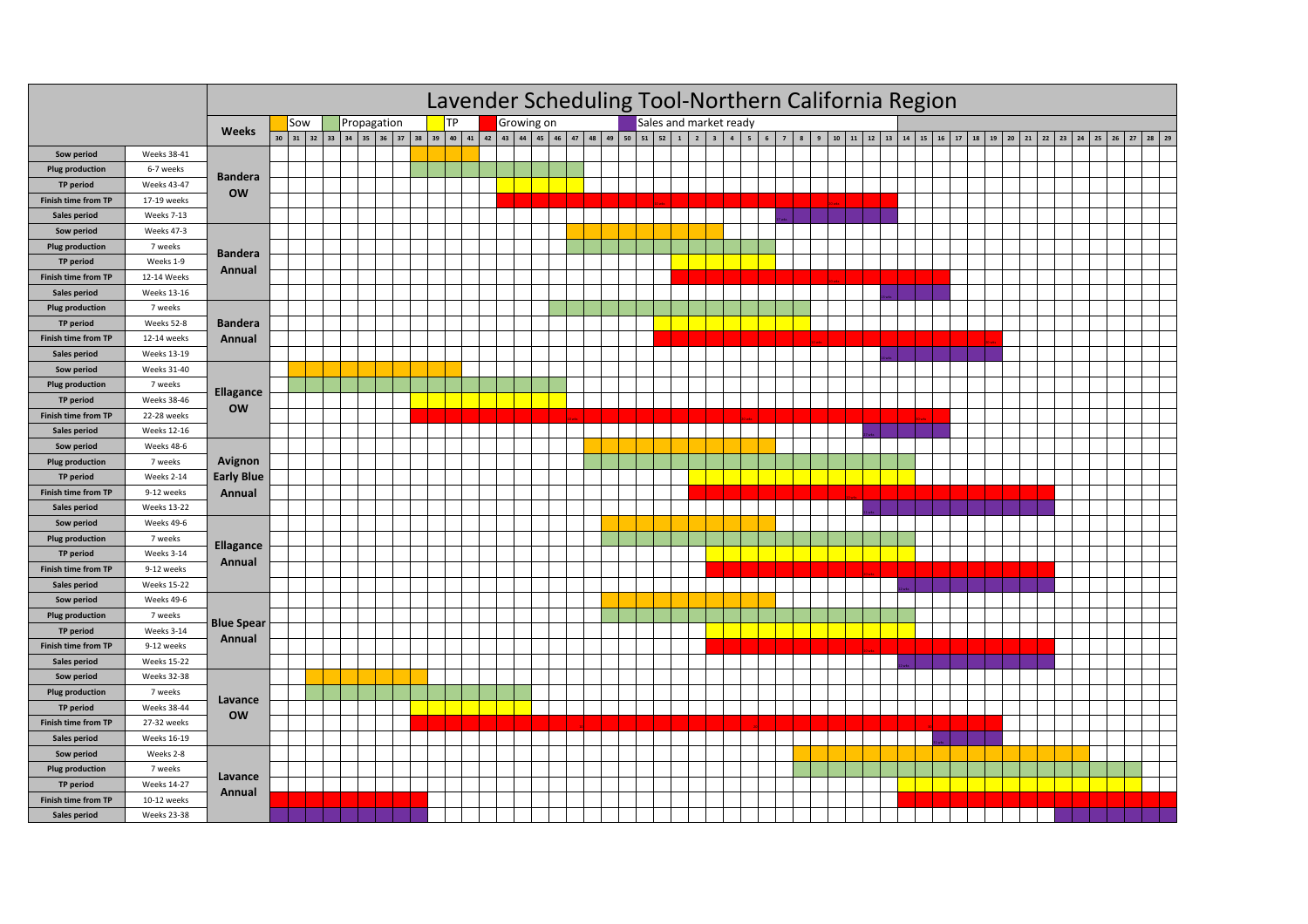|                            |                    | Lavender Scheduling Tool-Northern California Region                     |    |                                                                                                                                                    |  |  |  |  |  |  |  |  |  |  |  |  |  |  |  |  |  |
|----------------------------|--------------------|-------------------------------------------------------------------------|----|----------------------------------------------------------------------------------------------------------------------------------------------------|--|--|--|--|--|--|--|--|--|--|--|--|--|--|--|--|--|
|                            |                    | <b>TP</b><br>Sales and market ready<br>Growing on<br>Propagation<br>Sow |    |                                                                                                                                                    |  |  |  |  |  |  |  |  |  |  |  |  |  |  |  |  |  |
|                            |                    | <b>Weeks</b>                                                            | 30 | 31 32 33 34 35 36 37 38 39 40 41 42 43 44 45 46 47 48 49 50 51 52 1 2 3 4 5 6 7 8 9 10 11 12 13 14 15 16 17 38 39 20 21 22 23 24 25 26 27 28 29 29 |  |  |  |  |  |  |  |  |  |  |  |  |  |  |  |  |  |
| Sow period                 | Weeks 38-41        |                                                                         |    |                                                                                                                                                    |  |  |  |  |  |  |  |  |  |  |  |  |  |  |  |  |  |
| <b>Plug production</b>     | 6-7 weeks          |                                                                         |    |                                                                                                                                                    |  |  |  |  |  |  |  |  |  |  |  |  |  |  |  |  |  |
| TP period                  | <b>Weeks 43-47</b> | <b>Bandera</b>                                                          |    |                                                                                                                                                    |  |  |  |  |  |  |  |  |  |  |  |  |  |  |  |  |  |
| <b>Finish time from TP</b> | 17-19 weeks        | <b>OW</b>                                                               |    |                                                                                                                                                    |  |  |  |  |  |  |  |  |  |  |  |  |  |  |  |  |  |
| Sales period               | Weeks 7-13         |                                                                         |    |                                                                                                                                                    |  |  |  |  |  |  |  |  |  |  |  |  |  |  |  |  |  |
| Sow period                 | Weeks 47-3         |                                                                         |    |                                                                                                                                                    |  |  |  |  |  |  |  |  |  |  |  |  |  |  |  |  |  |
| <b>Plug production</b>     | 7 weeks            |                                                                         |    |                                                                                                                                                    |  |  |  |  |  |  |  |  |  |  |  |  |  |  |  |  |  |
| <b>TP period</b>           | Weeks 1-9          | <b>Bandera</b>                                                          |    |                                                                                                                                                    |  |  |  |  |  |  |  |  |  |  |  |  |  |  |  |  |  |
| Finish time from TP        | 12-14 Weeks        | Annual                                                                  |    |                                                                                                                                                    |  |  |  |  |  |  |  |  |  |  |  |  |  |  |  |  |  |
| Sales period               | <b>Weeks 13-16</b> |                                                                         |    |                                                                                                                                                    |  |  |  |  |  |  |  |  |  |  |  |  |  |  |  |  |  |
| <b>Plug production</b>     | 7 weeks            |                                                                         |    |                                                                                                                                                    |  |  |  |  |  |  |  |  |  |  |  |  |  |  |  |  |  |
| TP period                  | Weeks 52-8         | <b>Bandera</b>                                                          |    |                                                                                                                                                    |  |  |  |  |  |  |  |  |  |  |  |  |  |  |  |  |  |
| Finish time from TP        | 12-14 weeks        | Annual                                                                  |    |                                                                                                                                                    |  |  |  |  |  |  |  |  |  |  |  |  |  |  |  |  |  |
| Sales period               | <b>Weeks 13-19</b> |                                                                         |    |                                                                                                                                                    |  |  |  |  |  |  |  |  |  |  |  |  |  |  |  |  |  |
| Sow period                 | Weeks 31-40        |                                                                         |    |                                                                                                                                                    |  |  |  |  |  |  |  |  |  |  |  |  |  |  |  |  |  |
| <b>Plug production</b>     | 7 weeks            |                                                                         |    |                                                                                                                                                    |  |  |  |  |  |  |  |  |  |  |  |  |  |  |  |  |  |
| TP period                  | <b>Weeks 38-46</b> | Ellagance                                                               |    |                                                                                                                                                    |  |  |  |  |  |  |  |  |  |  |  |  |  |  |  |  |  |
| Finish time from TP        | 22-28 weeks        | <b>OW</b>                                                               |    |                                                                                                                                                    |  |  |  |  |  |  |  |  |  |  |  |  |  |  |  |  |  |
| Sales period               | <b>Weeks 12-16</b> |                                                                         |    |                                                                                                                                                    |  |  |  |  |  |  |  |  |  |  |  |  |  |  |  |  |  |
| Sow period                 | Weeks 48-6         |                                                                         |    |                                                                                                                                                    |  |  |  |  |  |  |  |  |  |  |  |  |  |  |  |  |  |
| <b>Plug production</b>     | 7 weeks            | Avignon                                                                 |    |                                                                                                                                                    |  |  |  |  |  |  |  |  |  |  |  |  |  |  |  |  |  |
| TP period                  | Weeks 2-14         | <b>Early Blue</b>                                                       |    |                                                                                                                                                    |  |  |  |  |  |  |  |  |  |  |  |  |  |  |  |  |  |
| Finish time from TP        | 9-12 weeks         | Annual                                                                  |    |                                                                                                                                                    |  |  |  |  |  |  |  |  |  |  |  |  |  |  |  |  |  |
| Sales period               | <b>Weeks 13-22</b> |                                                                         |    |                                                                                                                                                    |  |  |  |  |  |  |  |  |  |  |  |  |  |  |  |  |  |
| Sow period                 | Weeks 49-6         |                                                                         |    |                                                                                                                                                    |  |  |  |  |  |  |  |  |  |  |  |  |  |  |  |  |  |
| <b>Plug production</b>     | 7 weeks            |                                                                         |    |                                                                                                                                                    |  |  |  |  |  |  |  |  |  |  |  |  |  |  |  |  |  |
| TP period                  | Weeks 3-14         | <b>Ellagance</b>                                                        |    |                                                                                                                                                    |  |  |  |  |  |  |  |  |  |  |  |  |  |  |  |  |  |
| Finish time from TP        | 9-12 weeks         | Annual                                                                  |    |                                                                                                                                                    |  |  |  |  |  |  |  |  |  |  |  |  |  |  |  |  |  |
| Sales period               | <b>Weeks 15-22</b> |                                                                         |    |                                                                                                                                                    |  |  |  |  |  |  |  |  |  |  |  |  |  |  |  |  |  |
| Sow period                 | Weeks 49-6         |                                                                         |    |                                                                                                                                                    |  |  |  |  |  |  |  |  |  |  |  |  |  |  |  |  |  |
| <b>Plug production</b>     | 7 weeks            |                                                                         |    |                                                                                                                                                    |  |  |  |  |  |  |  |  |  |  |  |  |  |  |  |  |  |
| <b>TP</b> period           | Weeks 3-14         | <b>Blue Spear</b>                                                       |    |                                                                                                                                                    |  |  |  |  |  |  |  |  |  |  |  |  |  |  |  |  |  |
| Finish time from TP        | 9-12 weeks         | Annual                                                                  |    |                                                                                                                                                    |  |  |  |  |  |  |  |  |  |  |  |  |  |  |  |  |  |
| Sales period               | <b>Weeks 15-22</b> |                                                                         |    |                                                                                                                                                    |  |  |  |  |  |  |  |  |  |  |  |  |  |  |  |  |  |
| Sow period                 | <b>Weeks 32-38</b> |                                                                         |    |                                                                                                                                                    |  |  |  |  |  |  |  |  |  |  |  |  |  |  |  |  |  |
| <b>Plug production</b>     | 7 weeks            |                                                                         |    |                                                                                                                                                    |  |  |  |  |  |  |  |  |  |  |  |  |  |  |  |  |  |
| TP period                  | <b>Weeks 38-44</b> | Lavance                                                                 |    |                                                                                                                                                    |  |  |  |  |  |  |  |  |  |  |  |  |  |  |  |  |  |
| <b>Finish time from TP</b> | 27-32 weeks        | <b>OW</b>                                                               |    |                                                                                                                                                    |  |  |  |  |  |  |  |  |  |  |  |  |  |  |  |  |  |
| Sales period               | Weeks 16-19        |                                                                         |    |                                                                                                                                                    |  |  |  |  |  |  |  |  |  |  |  |  |  |  |  |  |  |
| Sow period                 | Weeks 2-8          |                                                                         |    |                                                                                                                                                    |  |  |  |  |  |  |  |  |  |  |  |  |  |  |  |  |  |
| <b>Plug production</b>     | 7 weeks            |                                                                         |    |                                                                                                                                                    |  |  |  |  |  |  |  |  |  |  |  |  |  |  |  |  |  |
| TP period                  | <b>Weeks 14-27</b> | Lavance                                                                 |    |                                                                                                                                                    |  |  |  |  |  |  |  |  |  |  |  |  |  |  |  |  |  |
| Finish time from TP        | 10-12 weeks        | Annual                                                                  |    |                                                                                                                                                    |  |  |  |  |  |  |  |  |  |  |  |  |  |  |  |  |  |
| Sales period               | <b>Weeks 23-38</b> |                                                                         |    |                                                                                                                                                    |  |  |  |  |  |  |  |  |  |  |  |  |  |  |  |  |  |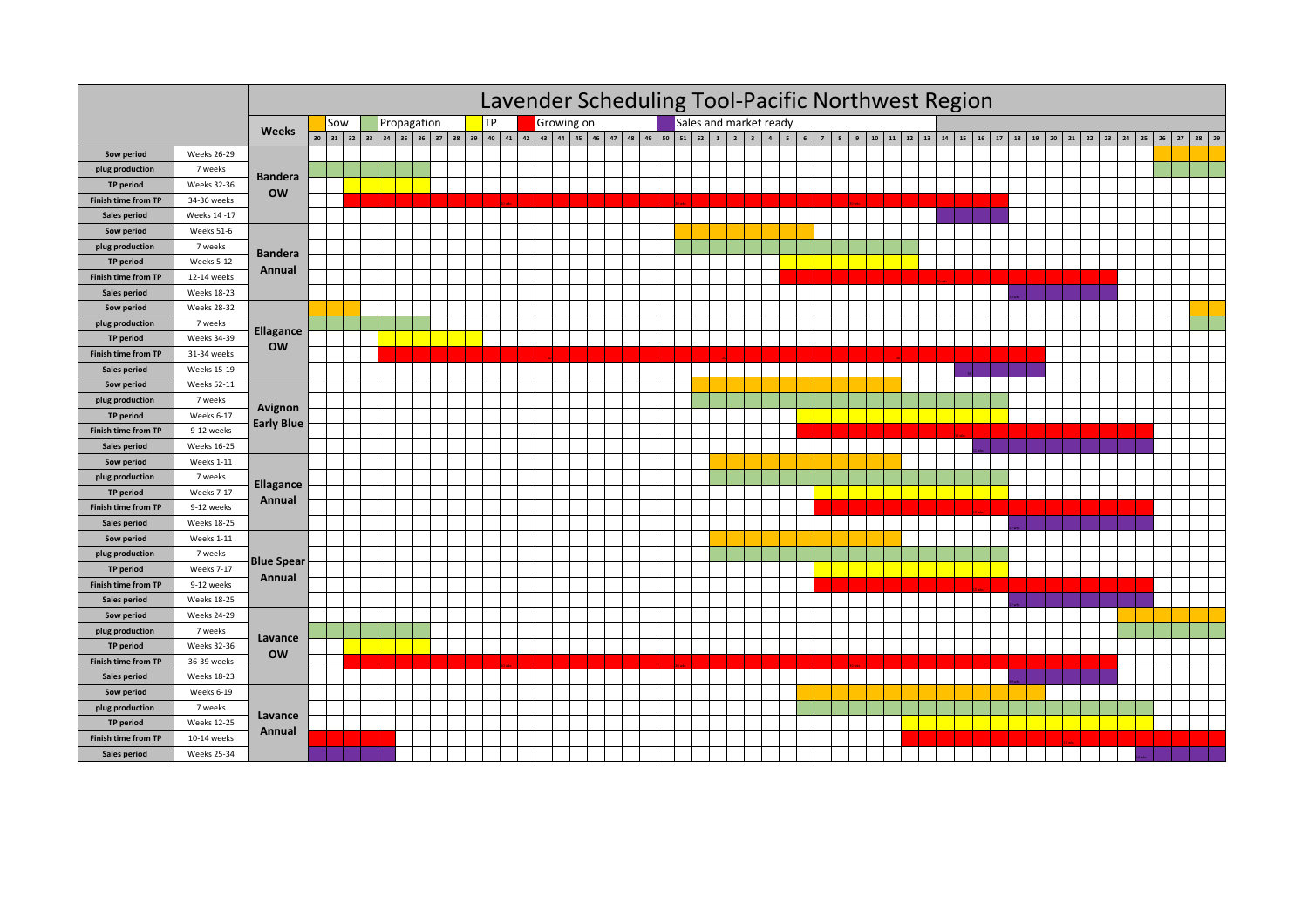